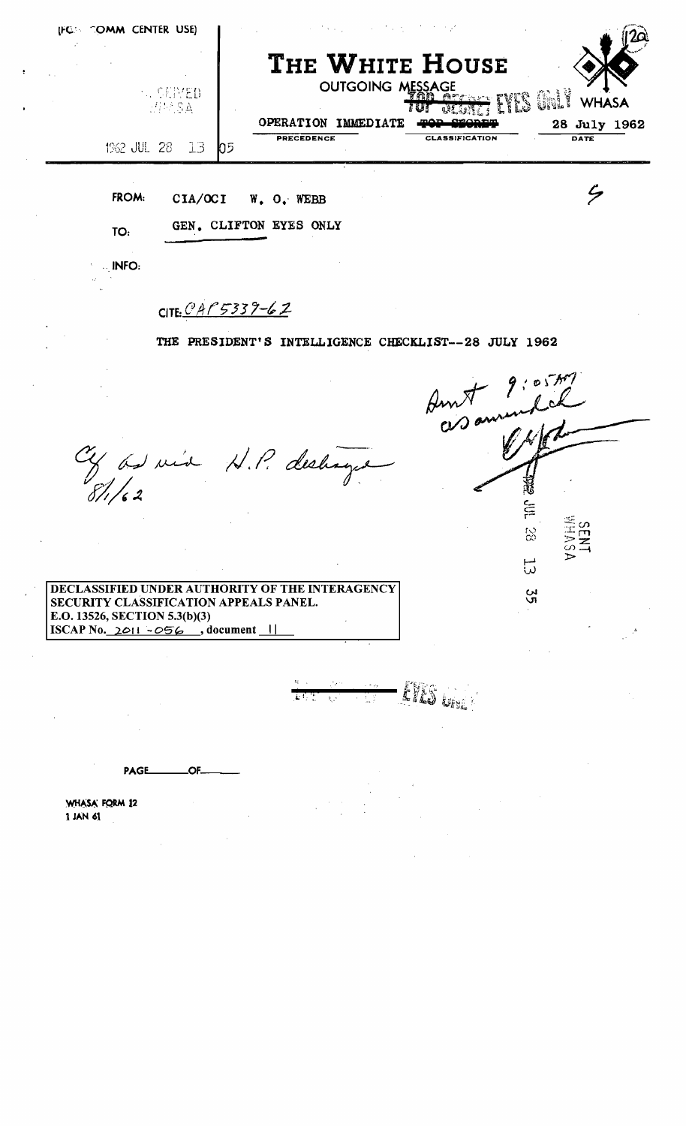| <b>AL CENTED</b><br><i>리트</i> SA |                | THE WHITE HOUSE<br><b>OUTGOING MESSAGE</b><br>EVES CHIP<br><b>Architect</b><br><b>WHASA</b><br>OPERATION IMMEDIATE<br>orac |                             |  |  |  |  |
|----------------------------------|----------------|----------------------------------------------------------------------------------------------------------------------------|-----------------------------|--|--|--|--|
|                                  | 1962 JUL 28 13 | PRECEDENCE<br><b>CLASSIFICATION</b><br>$\mathsf{D}^5$                                                                      | 28 July 1962<br><b>DATE</b> |  |  |  |  |
| FROM:                            | CIA/OCI        | W. O. WEBB                                                                                                                 |                             |  |  |  |  |
| TO:                              |                | GEN. CLIFTON EYES ONLY                                                                                                     |                             |  |  |  |  |
| INFO:                            |                |                                                                                                                            |                             |  |  |  |  |
|                                  |                | CITE: $C A P 5339 - 62$                                                                                                    |                             |  |  |  |  |

Cy as via N.P. deshage

3  $\sum_{i=1}^{n}$ 88  $\overline{\omega}$ 55

DECLASSIFIED UNDER AUTHORITY OF THE INTERAGENCY SECURITY CLASSIFICATION APPEALS PANEL. E.O. 13526, SECTION 5.3(b)(3)  $\boxed{\text{ISCAP No. 2011 - 056}$ , document  $\boxed{\text{1}}$ 

 $-$  EVES  $\omega$  .

PAGE\_ OF\_

WHASA FORM 12 1 JAN 61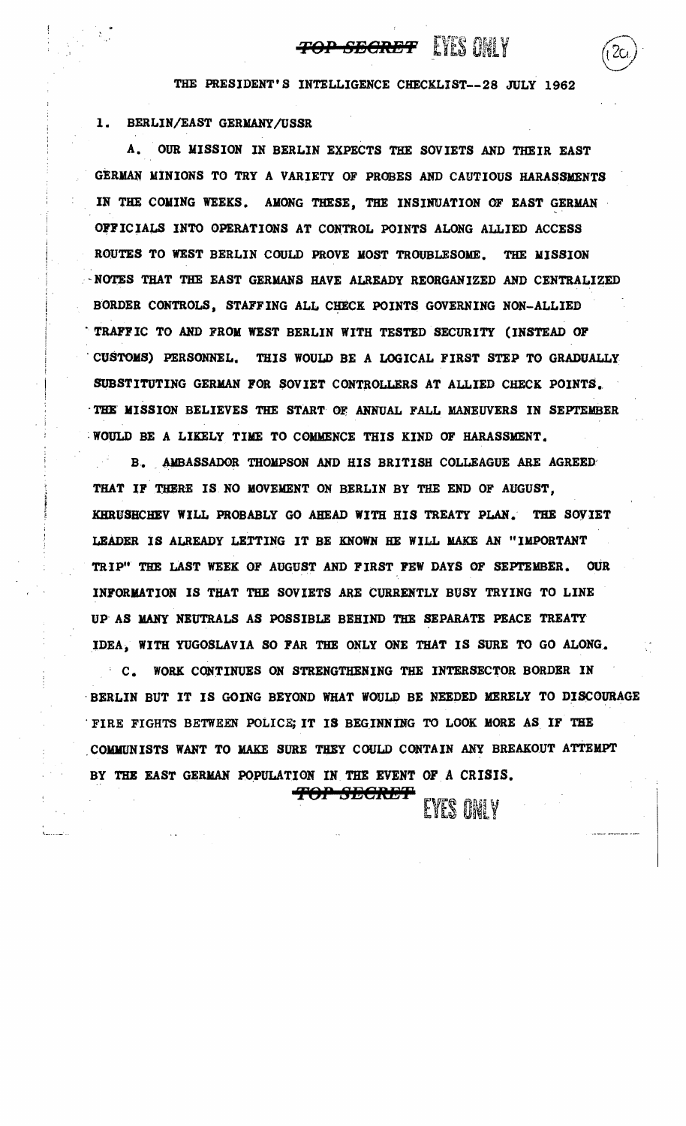## **TOP SEGRET** EYES ONLY

THE PRESIDENT'S INTELLIGENCE CHECKLIST--28 JULY 1962

## 1. BERLIN/EAST GERMANY/USSR

A. OUR MISSION IN BERLIN EXPECTS THE SOVIETS AND THEIR EAST GERMAN. MINIONS TO TRY A VARIETY OF PROBES AND CAUTIOUS HARASSMENTS IN THE COMING WEEKS. AMONG THESE, THE INSINUATION OF EAST GERMAN OFFICIALS INTO OPERATIONS AT CONTROL POINTS ALONG ALLIED ACCESS ROUTES TO WEST BERLIN COULD PROVE MOST TROUBLESOME. THE MISSION -NOTES THAT THE EAST GERMANS HAVE ALREADY REORGANIZED AND CENTRALIZED BORDER CONTROLS, STAFFING ALL CHECK POINTS GOVERNING NON-ALLIED TRAFFIC TO AND FROM WEST BERLIN WITH TESTED SECURITY (INSTEAD OF CUSTOMS) PERSONNEL. THIS WOULD BE A LOGICAL FIRST STEP TO GRADUALLY SUBSTITUTING GERMAN FOR SOVIET CONTROLLERS AT ALLIED CHECK POINTS. THE MISSION BELIEVES THE START OF ANNUAL FALL MANEUVERS IN SEPTEMBER ·WOULD BE A LIKELY TIME TO COMMENCE THIS KIND OF HARASSMENT.

B. AMBASSADOR THOMPSON AND HIS BRITISH COLLEAGUE ARE AGREED THAT IF THERE IS NO MOVEMENT ON BERLIN BY THE END OF AUGUST, KHRUSHCHEV WILL PROBABLY GO AHEAD WITH HIS TREATY PLAN. THE SOYIET LEADER IS ALREADY LETTING IT BE KNOWN HE WILL MAKE AN "IMPORTANT TRIP" THE LAST WEEK OF AUGUST AND FIRST FEW DAYS OF SEPTEMBER. OUR INFORMATION IS THAT THE SOVIETS ARE CURRENTLY BUSY TRYING TO LINE Up' AS MANY NEUTRALS AS POSSIBLE BEHIND THE SEPARATE PEACE TREATY IDEA, WITH YUGOSLAVIA SO FAR THE ONLY ONE THAT IS SURE TO GO ALONG.

**C. WORK CONTINUES ON STRENGTHENING THE INTERSECTOR BORDER IN** · BERLIN BUT IT IS GOING BEYOND WHAT WOULD BE NEEDED MERELY TO DISCOURAGE · FIRE FIGHTS BETWEEN POLICE; IT IS BEGINNING TO LOOK MORE AS IF THE COMMUNISTS WANT TO MAKE SURE THEY COULD CONTAIN ANY BREAKOUT ATTEMPT BY THE EAST GERMAN POPULATION IN THE EVENT OF A CRISIS.

**ftop secret**  $\epsilon$  **ivis only**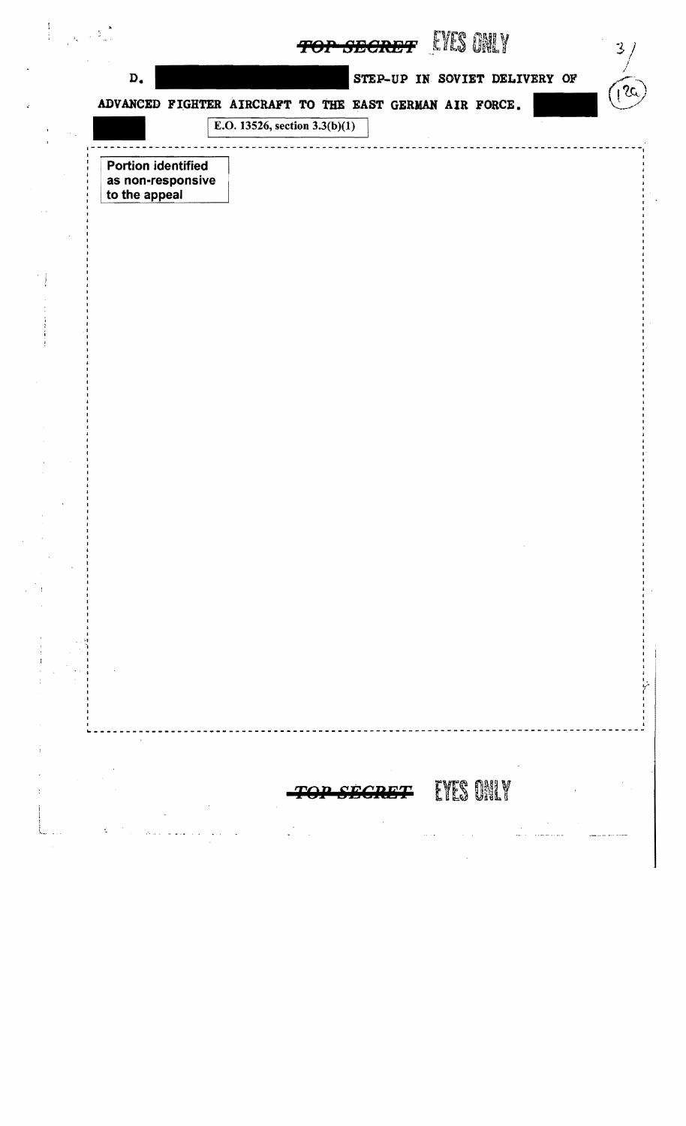| $\mathbf{D}_\bullet$                                            |                                                                                            | STEP-UP IN SOVIET DELIVERY OF | 15 |
|-----------------------------------------------------------------|--------------------------------------------------------------------------------------------|-------------------------------|----|
|                                                                 | ADVANCED FIGHTER AIRCRAFT TO THE EAST GERMAN AIR FORCE.<br>E.O. 13526, section $3.3(b)(1)$ |                               |    |
|                                                                 |                                                                                            |                               |    |
| <b>Portion identified</b><br>as non-responsive<br>to the appeal |                                                                                            |                               |    |
|                                                                 |                                                                                            |                               |    |
|                                                                 |                                                                                            |                               |    |
|                                                                 |                                                                                            |                               |    |
|                                                                 |                                                                                            |                               |    |
|                                                                 |                                                                                            |                               |    |
|                                                                 |                                                                                            |                               |    |
|                                                                 |                                                                                            |                               |    |
|                                                                 |                                                                                            |                               |    |
|                                                                 |                                                                                            |                               |    |
|                                                                 |                                                                                            |                               |    |
|                                                                 |                                                                                            |                               |    |
|                                                                 |                                                                                            |                               |    |
|                                                                 |                                                                                            |                               |    |
|                                                                 |                                                                                            |                               |    |
|                                                                 |                                                                                            |                               |    |
|                                                                 |                                                                                            |                               |    |
|                                                                 |                                                                                            |                               |    |
|                                                                 |                                                                                            |                               |    |
|                                                                 |                                                                                            |                               |    |
|                                                                 |                                                                                            | EYES ONLY                     |    |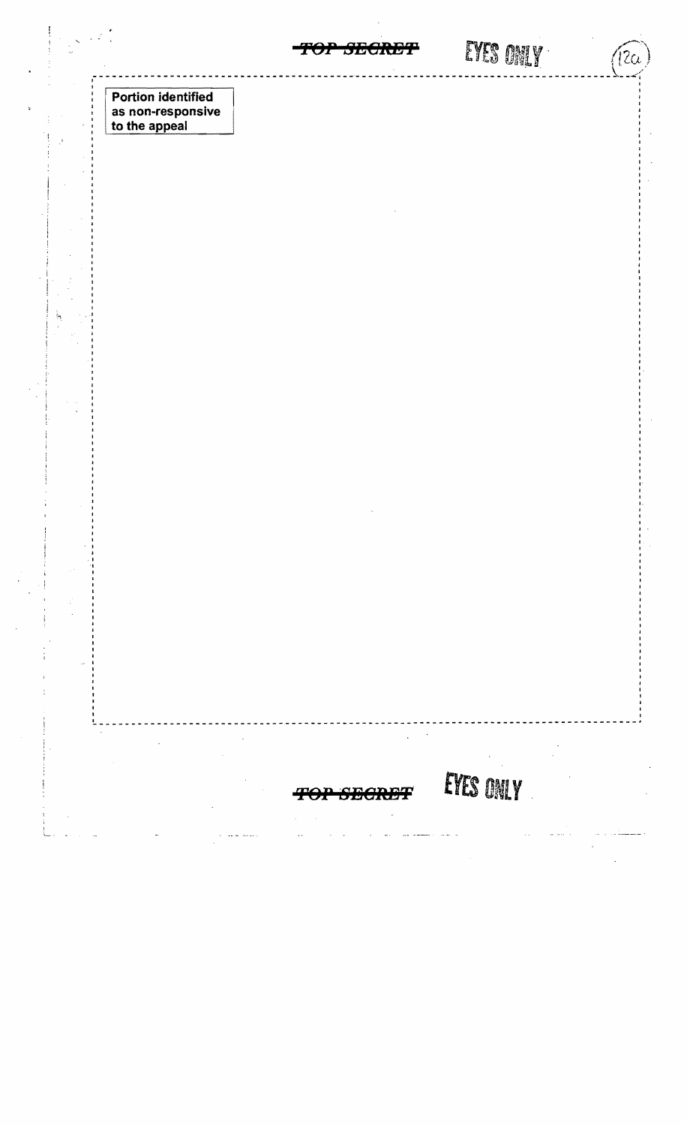EYES ONLY SECRET  $($ l2 $\alpha$ **Portion identified** as non-responsive<br>to the appeal EYES ONLY **SEGRET**